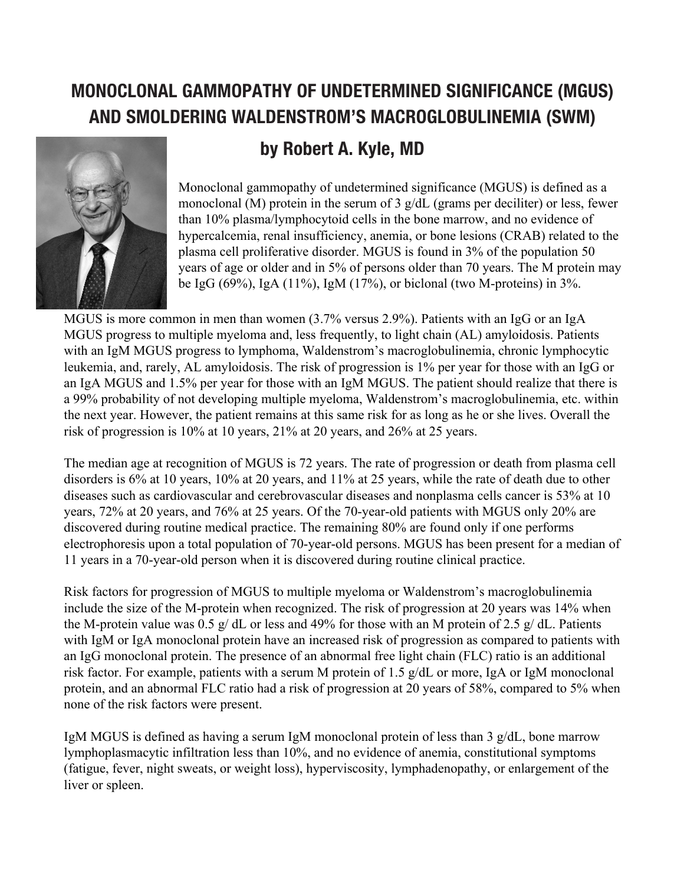# **MONOCLONAL GAMMOPATHY OF UNDETERMINED SIGNIFICANCE (MGUS) AND SMOLDERING WALDENSTROM'S MACROGLOBULINEMIA (SWM)**



## **by Robert A. Kyle, MD**

Monoclonal gammopathy of undetermined significance (MGUS) is defined as a monoclonal (M) protein in the serum of 3 g/dL (grams per deciliter) or less, fewer than 10% plasma/lymphocytoid cells in the bone marrow, and no evidence of hypercalcemia, renal insufficiency, anemia, or bone lesions (CRAB) related to the plasma cell proliferative disorder. MGUS is found in 3% of the population 50 years of age or older and in 5% of persons older than 70 years. The M protein may be IgG (69%), IgA (11%), IgM (17%), or biclonal (two M-proteins) in  $3\%$ .

MGUS is more common in men than women (3.7% versus 2.9%). Patients with an IgG or an IgA MGUS progress to multiple myeloma and, less frequently, to light chain (AL) amyloidosis. Patients with an IgM MGUS progress to lymphoma, Waldenstrom's macroglobulinemia, chronic lymphocytic leukemia, and, rarely, AL amyloidosis. The risk of progression is 1% per year for those with an IgG or an IgA MGUS and 1.5% per year for those with an IgM MGUS. The patient should realize that there is a 99% probability of not developing multiple myeloma, Waldenstrom's macroglobulinemia, etc. within the next year. However, the patient remains at this same risk for as long as he or she lives. Overall the risk of progression is 10% at 10 years, 21% at 20 years, and 26% at 25 years.

The median age at recognition of MGUS is 72 years. The rate of progression or death from plasma cell disorders is 6% at 10 years, 10% at 20 years, and 11% at 25 years, while the rate of death due to other diseases such as cardiovascular and cerebrovascular diseases and nonplasma cells cancer is 53% at 10 years, 72% at 20 years, and 76% at 25 years. Of the 70-year-old patients with MGUS only 20% are discovered during routine medical practice. The remaining 80% are found only if one performs electrophoresis upon a total population of 70-year-old persons. MGUS has been present for a median of 11 years in a 70-year-old person when it is discovered during routine clinical practice.

Risk factors for progression of MGUS to multiple myeloma or Waldenstrom's macroglobulinemia include the size of the M-protein when recognized. The risk of progression at 20 years was 14% when the M-protein value was 0.5 g/ dL or less and 49% for those with an M protein of 2.5 g/ dL. Patients with IgM or IgA monoclonal protein have an increased risk of progression as compared to patients with an IgG monoclonal protein. The presence of an abnormal free light chain (FLC) ratio is an additional risk factor. For example, patients with a serum M protein of 1.5 g/dL or more, IgA or IgM monoclonal protein, and an abnormal FLC ratio had a risk of progression at 20 years of 58%, compared to 5% when none of the risk factors were present.

IgM MGUS is defined as having a serum IgM monoclonal protein of less than 3 g/dL, bone marrow lymphoplasmacytic infiltration less than 10%, and no evidence of anemia, constitutional symptoms (fatigue, fever, night sweats, or weight loss), hyperviscosity, lymphadenopathy, or enlargement of the liver or spleen.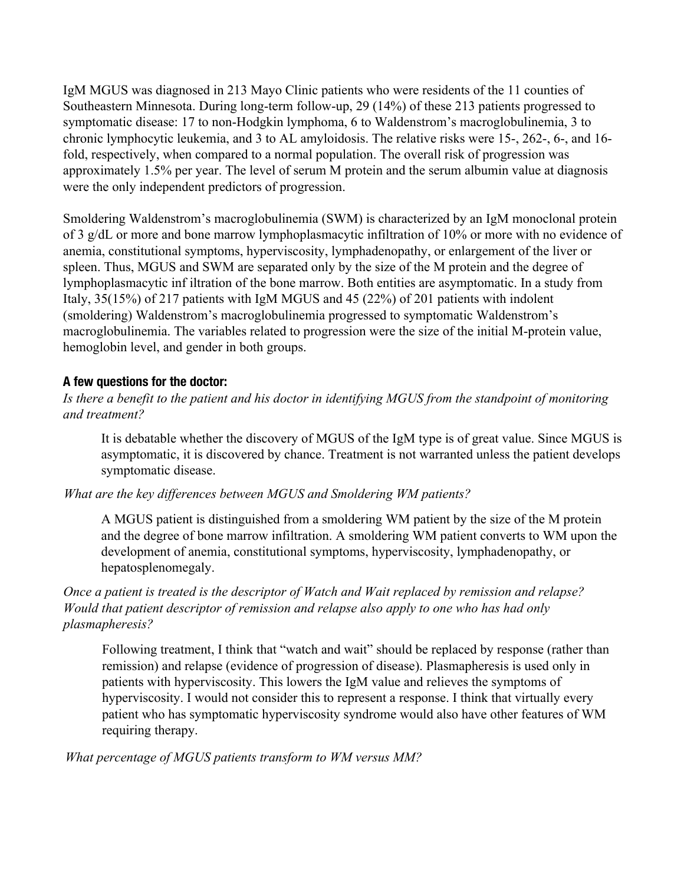IgM MGUS was diagnosed in 213 Mayo Clinic patients who were residents of the 11 counties of Southeastern Minnesota. During long-term follow-up, 29 (14%) of these 213 patients progressed to symptomatic disease: 17 to non-Hodgkin lymphoma, 6 to Waldenstrom's macroglobulinemia, 3 to chronic lymphocytic leukemia, and 3 to AL amyloidosis. The relative risks were 15-, 262-, 6-, and 16 fold, respectively, when compared to a normal population. The overall risk of progression was approximately 1.5% per year. The level of serum M protein and the serum albumin value at diagnosis were the only independent predictors of progression.

Smoldering Waldenstrom's macroglobulinemia (SWM) is characterized by an IgM monoclonal protein of 3 g/dL or more and bone marrow lymphoplasmacytic infiltration of 10% or more with no evidence of anemia, constitutional symptoms, hyperviscosity, lymphadenopathy, or enlargement of the liver or spleen. Thus, MGUS and SWM are separated only by the size of the M protein and the degree of lymphoplasmacytic inf iltration of the bone marrow. Both entities are asymptomatic. In a study from Italy, 35(15%) of 217 patients with IgM MGUS and 45 (22%) of 201 patients with indolent (smoldering) Waldenstrom's macroglobulinemia progressed to symptomatic Waldenstrom's macroglobulinemia. The variables related to progression were the size of the initial M-protein value, hemoglobin level, and gender in both groups.

### **A few questions for the doctor:**

*Is there a benefit to the patient and his doctor in identifying MGUS from the standpoint of monitoring and treatment?*

It is debatable whether the discovery of MGUS of the IgM type is of great value. Since MGUS is asymptomatic, it is discovered by chance. Treatment is not warranted unless the patient develops symptomatic disease.

#### *What are the key differences between MGUS and Smoldering WM patients?*

A MGUS patient is distinguished from a smoldering WM patient by the size of the M protein and the degree of bone marrow infiltration. A smoldering WM patient converts to WM upon the development of anemia, constitutional symptoms, hyperviscosity, lymphadenopathy, or hepatosplenomegaly.

*Once a patient is treated is the descriptor of Watch and Wait replaced by remission and relapse? Would that patient descriptor of remission and relapse also apply to one who has had only plasmapheresis?*

Following treatment, I think that "watch and wait" should be replaced by response (rather than remission) and relapse (evidence of progression of disease). Plasmapheresis is used only in patients with hyperviscosity. This lowers the IgM value and relieves the symptoms of hyperviscosity. I would not consider this to represent a response. I think that virtually every patient who has symptomatic hyperviscosity syndrome would also have other features of WM requiring therapy.

*What percentage of MGUS patients transform to WM versus MM?*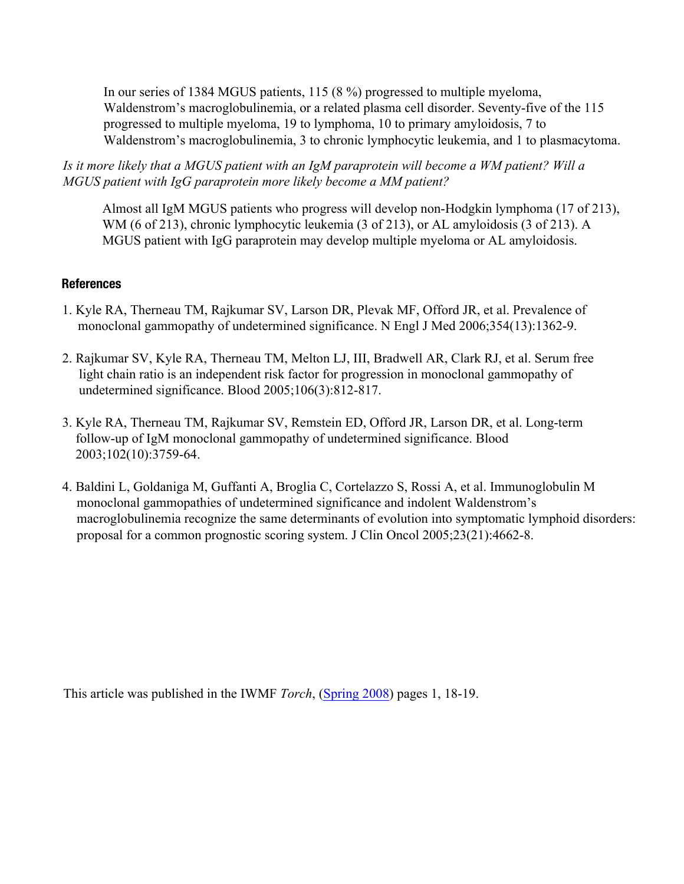In our series of 1384 MGUS patients, 115 (8 %) progressed to multiple myeloma, Waldenstrom's macroglobulinemia, or a related plasma cell disorder. Seventy-five of the 115 progressed to multiple myeloma, 19 to lymphoma, 10 to primary amyloidosis, 7 to Waldenstrom's macroglobulinemia, 3 to chronic lymphocytic leukemia, and 1 to plasmacytoma.

*Is it more likely that a MGUS patient with an IgM paraprotein will become a WM patient? Will a MGUS patient with IgG paraprotein more likely become a MM patient?*

Almost all IgM MGUS patients who progress will develop non-Hodgkin lymphoma (17 of 213), WM (6 of 213), chronic lymphocytic leukemia (3 of 213), or AL amyloidosis (3 of 213). A MGUS patient with IgG paraprotein may develop multiple myeloma or AL amyloidosis.

### **References**

- 1. Kyle RA, Therneau TM, Rajkumar SV, Larson DR, Plevak MF, Offord JR, et al. Prevalence of monoclonal gammopathy of undetermined significance. N Engl J Med 2006;354(13):1362-9.
- 2. Rajkumar SV, Kyle RA, Therneau TM, Melton LJ, III, Bradwell AR, Clark RJ, et al. Serum free light chain ratio is an independent risk factor for progression in monoclonal gammopathy of undetermined significance. Blood 2005;106(3):812-817.
- 3. Kyle RA, Therneau TM, Rajkumar SV, Remstein ED, Offord JR, Larson DR, et al. Long-term follow-up of IgM monoclonal gammopathy of undetermined significance. Blood 2003;102(10):3759-64.
- 4. Baldini L, Goldaniga M, Guffanti A, Broglia C, Cortelazzo S, Rossi A, et al. Immunoglobulin M monoclonal gammopathies of undetermined significance and indolent Waldenstrom's macroglobulinemia recognize the same determinants of evolution into symptomatic lymphoid disorders: proposal for a common prognostic scoring system. J Clin Oncol 2005;23(21):4662-8.

This article was published in the IWMF *Torch*, ([Spring](http://iwmf.com/sites/default/files/docs/Torch2008-2.pdf) 2008) pages 1, 18-19.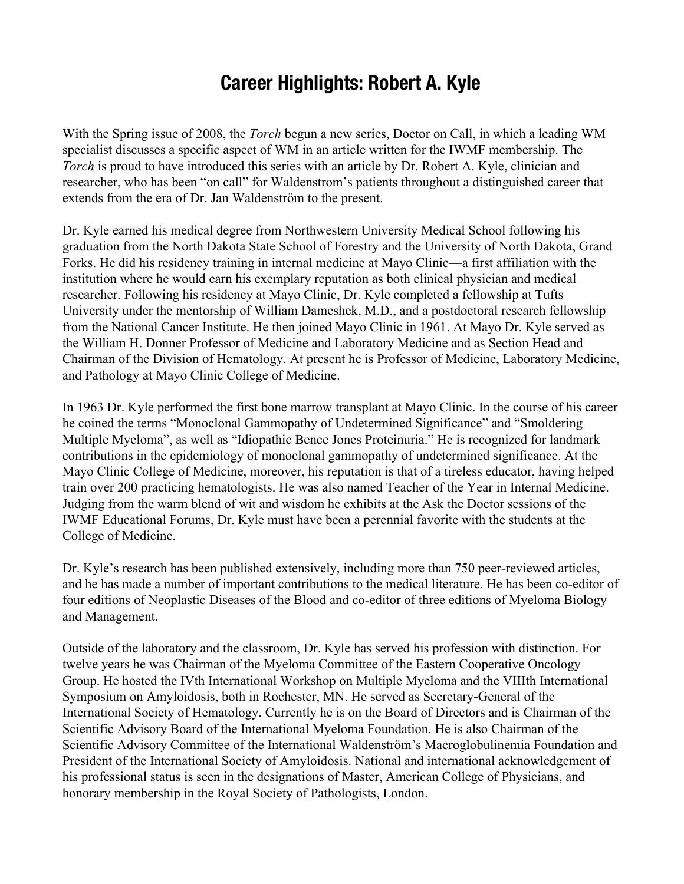## **Career Highlights: Robert A. Kyle**

With the Spring issue of 2008, the *Torch* begun a new series, Doctor on Call, in which a leading WM specialist discusses a specific aspect of WM in an article written for the IWMF membership. The *Torch* is proud to have introduced this series with an article by Dr. Robert A. Kyle, clinician and researcher, who has been "on call" for Waldenstrom's patients throughout a distinguished career that extends from the era of Dr. Jan Waldenström to the present.

Dr. Kyle earned his medical degree from Northwestern University Medical School following his graduation from the North Dakota State School of Forestry and the University of North Dakota, Grand Forks. He did his residency training in internal medicine at Mayo Clinic—a first affiliation with the institution where he would earn his exemplary reputation as both clinical physician and medical researcher. Following his residency at Mayo Clinic, Dr. Kyle completed a fellowship at Tufts University under the mentorship of William Dameshek, M.D., and a postdoctoral research fellowship from the National Cancer Institute. He then joined Mayo Clinic in 1961. At Mayo Dr. Kyle served as the William H. Donner Professor of Medicine and Laboratory Medicine and as Section Head and Chairman of the Division of Hematology. At present he is Professor of Medicine, Laboratory Medicine, and Pathology at Mayo Clinic College of Medicine.

In 1963 Dr. Kyle performed the first bone marrow transplant at Mayo Clinic. In the course of his career he coined the terms "Monoclonal Gammopathy of Undetermined Significance" and "Smoldering Multiple Myeloma", as well as "Idiopathic Bence Jones Proteinuria." He is recognized for landmark contributions in the epidemiology of monoclonal gammopathy of undetermined significance. At the Mayo Clinic College of Medicine, moreover, his reputation is that of a tireless educator, having helped train over 200 practicing hematologists. He was also named Teacher of the Year in Internal Medicine. Judging from the warm blend of wit and wisdom he exhibits at the Ask the Doctor sessions of the IWMF Educational Forums, Dr. Kyle must have been a perennial favorite with the students at the College of Medicine.

Dr. Kyle's research has been published extensively, including more than 750 peer-reviewed articles, and he has made a number of important contributions to the medical literature. He has been co-editor of four editions of Neoplastic Diseases of the Blood and co-editor of three editions of Myeloma Biology and Management.

Outside of the laboratory and the classroom, Dr. Kyle has served his profession with distinction. For twelve years he was Chairman of the Myeloma Committee of the Eastern Cooperative Oncology Group. He hosted the IVth International Workshop on Multiple Myeloma and the VIIIth International Symposium on Amyloidosis, both in Rochester, MN. He served as Secretary-General of the International Society of Hematology. Currently he is on the Board of Directors and is Chairman of the Scientific Advisory Board of the International Myeloma Foundation. He is also Chairman of the Scientific Advisory Committee of the International Waldenström's Macroglobulinemia Foundation and President of the International Society of Amyloidosis. National and international acknowledgement of his professional status is seen in the designations of Master, American College of Physicians, and honorary membership in the Royal Society of Pathologists, London.